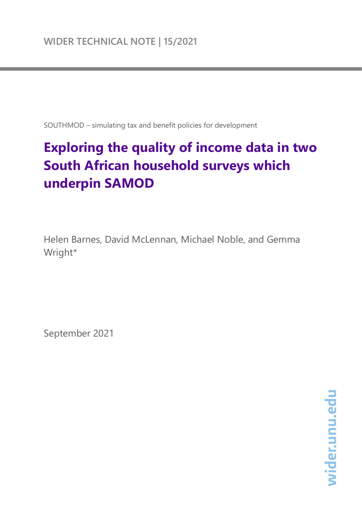SOUTHMOD – simulating tax and benefit policies for development

# **Exploring the quality of income data in two South African household surveys which underpin SAMOD**

Helen Barnes, David McLennan, Michael Noble, and Gemma Wright\*

September 2021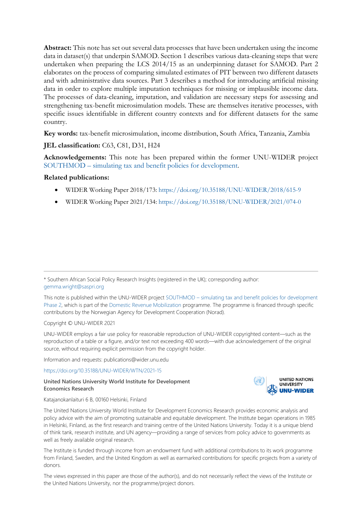**Abstract:** This note has set out several data processes that have been undertaken using the income data in dataset(s) that underpin SAMOD. Section 1 describes various data-cleaning steps that were undertaken when preparing the LCS 2014/15 as an underpinning dataset for SAMOD. Part 2 elaborates on the process of comparing simulated estimates of PIT between two different datasets and with administrative data sources. Part 3 describes a method for introducing artificial missing data in order to explore multiple imputation techniques for missing or implausible income data. The processes of data-cleaning, imputation, and validation are necessary steps for assessing and strengthening tax-benefit microsimulation models. These are themselves iterative processes, with specific issues identifiable in different country contexts and for different datasets for the same country.

**Key words:** tax-benefit microsimulation, income distribution, South Africa, Tanzania, Zambia

#### **JEL classification:** C63, C81, D31, H24

**Acknowledgements:** This note has been prepared within the former UNU-WIDER project SOUTHMOD – [simulating tax and benefit policies for development.](https://www.wider.unu.edu/node/12384)

#### **Related publications:**

- WIDER Working Paper 2018/173: <https://doi.org/10.35188/UNU-WIDER/2018/615-9>
- WIDER Working Paper 2021/134: <https://doi.org/10.35188/UNU-WIDER/2021/074-0>

\* Southern African Social Policy Research Insights (registered in the UK); corresponding author: [gemma.wright@saspri.org](mailto:gemma.wright@saspri.org)

This note is published within the UNU-WIDER project SOUTHMOD – simulating tax and benefit policies for development [Phase 2,](https://www.wider.unu.edu/node/236949) which is part of th[e Domestic Revenue Mobilization](https://www.wider.unu.edu/node/237587) programme. The programme is financed through specific contributions by the Norwegian Agency for Development Cooperation (Norad).

Copyright © UNU-WIDER 2021

UNU-WIDER employs a fair use policy for reasonable reproduction of UNU-WIDER copyrighted content—such as the reproduction of a table or a figure, and/or text not exceeding 400 words—with due acknowledgement of the original source, without requiring explicit permission from the copyright holder.

Information and requests: publications@wider.unu.edu

<https://doi.org/10.35188/UNU-WIDER/WTN/2021-15>

#### **United Nations University World Institute for Development Economics Research**



Katajanokanlaituri 6 B, 00160 Helsinki, Finland

The United Nations University World Institute for Development Economics Research provides economic analysis and policy advice with the aim of promoting sustainable and equitable development. The Institute began operations in 1985 in Helsinki, Finland, as the first research and training centre of the United Nations University. Today it is a unique blend of think tank, research institute, and UN agency—providing a range of services from policy advice to governments as well as freely available original research.

The Institute is funded through income from an endowment fund with additional contributions to its work programme from Finland, Sweden, and the United Kingdom as well as earmarked contributions for specific projects from a variety of donors.

The views expressed in this paper are those of the author(s), and do not necessarily reflect the views of the Institute or the United Nations University, nor the programme/project donors.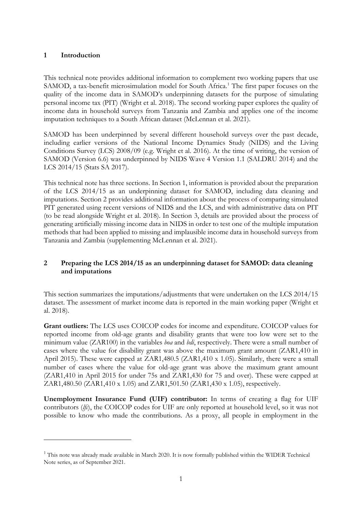# **1 Introduction**

This technical note provides additional information to complement two working papers that use SAMOD, a tax-benefit microsimulation model for South Africa.<sup>[1](#page-2-0)</sup> The first paper focuses on the quality of the income data in SAMOD's underpinning datasets for the purpose of simulating personal income tax (PIT) (Wright et al. 2018). The second working paper explores the quality of income data in household surveys from Tanzania and Zambia and applies one of the income imputation techniques to a South African dataset (McLennan et al. 2021).

SAMOD has been underpinned by several different household surveys over the past decade, including earlier versions of the National Income Dynamics Study (NIDS) and the Living Conditions Survey (LCS) 2008/09 (e.g. Wright et al. 2016). At the time of writing, the version of SAMOD (Version 6.6) was underpinned by NIDS Wave 4 Version 1.1 (SALDRU 2014) and the LCS 2014/15 (Stats SA 2017).

This technical note has three sections. In Section 1, information is provided about the preparation of the LCS 2014/15 as an underpinning dataset for SAMOD, including data cleaning and imputations. Section 2 provides additional information about the process of comparing simulated PIT generated using recent versions of NIDS and the LCS, and with administrative data on PIT (to be read alongside Wright et al. 2018). In Section 3, details are provided about the process of generating artificially missing income data in NIDS in order to test one of the multiple imputation methods that had been applied to missing and implausible income data in household surveys from Tanzania and Zambia (supplementing McLennan et al. 2021).

# **2 Preparing the LCS 2014/15 as an underpinning dataset for SAMOD: data cleaning and imputations**

This section summarizes the imputations/adjustments that were undertaken on the LCS 2014/15 dataset. The assessment of market income data is reported in the main working paper (Wright et al. 2018).

**Grant outliers:** The LCS uses COICOP codes for income and expenditure. COICOP values for reported income from old-age grants and disability grants that were too low were set to the minimum value (ZAR100) in the variables *boa* and *bdi*, respectively. There were a small number of cases where the value for disability grant was above the maximum grant amount (ZAR1,410 in April 2015). These were capped at ZAR1,480.5 (ZAR1,410 x 1.05). Similarly, there were a small number of cases where the value for old-age grant was above the maximum grant amount (ZAR1,410 in April 2015 for under 75s and ZAR1,430 for 75 and over). These were capped at ZAR1,480.50 (ZAR1,410 x 1.05) and ZAR1,501.50 (ZAR1,430 x 1.05), respectively.

**Unemployment Insurance Fund (UIF) contributor:** In terms of creating a flag for UIF contributors (*lfc*), the COICOP codes for UIF are only reported at household level, so it was not possible to know who made the contributions. As a proxy, all people in employment in the

<span id="page-2-0"></span><sup>&</sup>lt;sup>1</sup> This note was already made available in March 2020. It is now formally published within the WIDER Technical Note series, as of September 2021.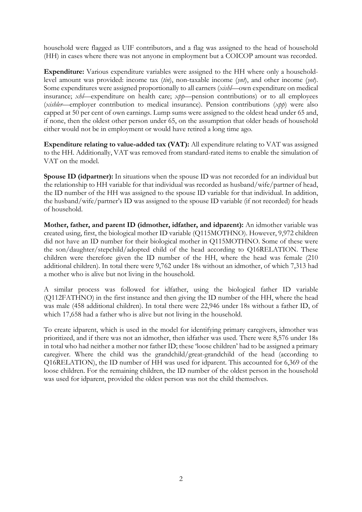household were flagged as UIF contributors, and a flag was assigned to the head of household (HH) in cases where there was not anyone in employment but a COICOP amount was recorded.

**Expenditure:** Various expenditure variables were assigned to the HH where only a householdlevel amount was provided: income tax (*tin*), non-taxable income (*ynt*), and other income (*yot*). Some expenditures were assigned proportionally to all earners (*xishl*—own expenditure on medical insurance; *xhl*—expenditure on health care; *xpp*—pension contributions) or to all employees (*xishler*—employer contribution to medical insurance). Pension contributions (*xpp*) were also capped at 50 per cent of own earnings. Lump sums were assigned to the oldest head under 65 and, if none, then the oldest other person under 65, on the assumption that older heads of household either would not be in employment or would have retired a long time ago.

**Expenditure relating to value-added tax (VAT):** All expenditure relating to VAT was assigned to the HH. Additionally, VAT was removed from standard-rated items to enable the simulation of VAT on the model.

**Spouse ID (idpartner):** In situations when the spouse ID was not recorded for an individual but the relationship to HH variable for that individual was recorded as husband/wife/partner of head, the ID number of the HH was assigned to the spouse ID variable for that individual. In addition, the husband/wife/partner's ID was assigned to the spouse ID variable (if not recorded) for heads of household.

**Mother, father, and parent ID (idmother, idfather, and idparent):** An idmother variable was created using, first, the biological mother ID variable (Q115MOTHNO). However, 9,972 children did not have an ID number for their biological mother in Q115MOTHNO. Some of these were the son/daughter/stepchild/adopted child of the head according to Q16RELATION. These children were therefore given the ID number of the HH, where the head was female (210 additional children). In total there were 9,762 under 18s without an idmother, of which 7,313 had a mother who is alive but not living in the household.

A similar process was followed for idfather, using the biological father ID variable (Q112FATHNO) in the first instance and then giving the ID number of the HH, where the head was male (458 additional children). In total there were 22,946 under 18s without a father ID, of which 17,658 had a father who is alive but not living in the household.

To create idparent, which is used in the model for identifying primary caregivers, idmother was prioritized, and if there was not an idmother, then idfather was used. There were 8,576 under 18s in total who had neither a mother nor father ID; these 'loose children' had to be assigned a primary caregiver. Where the child was the grandchild/great-grandchild of the head (according to Q16RELATION), the ID number of HH was used for idparent. This accounted for 6,369 of the loose children. For the remaining children, the ID number of the oldest person in the household was used for idparent, provided the oldest person was not the child themselves.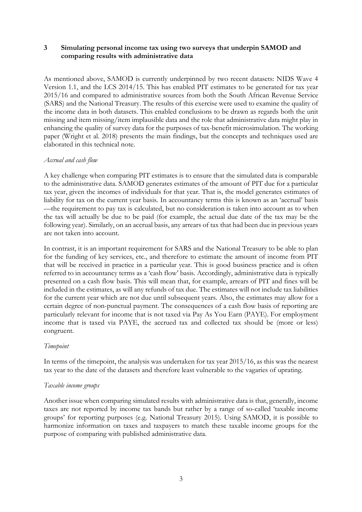## **3 Simulating personal income tax using two surveys that underpin SAMOD and comparing results with administrative data**

As mentioned above, SAMOD is currently underpinned by two recent datasets: NIDS Wave 4 Version 1.1, and the LCS 2014/15. This has enabled PIT estimates to be generated for tax year 2015/16 and compared to administrative sources from both the South African Revenue Service (SARS) and the National Treasury. The results of this exercise were used to examine the quality of the income data in both datasets. This enabled conclusions to be drawn as regards both the unit missing and item missing/item implausible data and the role that administrative data might play in enhancing the quality of survey data for the purposes of tax-benefit microsimulation. The working paper (Wright et al. 2018) presents the main findings, but the concepts and techniques used are elaborated in this technical note.

## *Accrual and cash flow*

A key challenge when comparing PIT estimates is to ensure that the simulated data is comparable to the administrative data. SAMOD generates estimates of the amount of PIT due for a particular tax year, given the incomes of individuals for that year. That is, the model generates estimates of liability for tax on the current year basis. In accountancy terms this is known as an 'accrual' basis —the requirement to pay tax is calculated, but no consideration is taken into account as to when the tax will actually be due to be paid (for example, the actual due date of the tax may be the following year). Similarly, on an accrual basis, any arrears of tax that had been due in previous years are not taken into account.

In contrast, it is an important requirement for SARS and the National Treasury to be able to plan for the funding of key services, etc., and therefore to estimate the amount of income from PIT that will be received in practice in a particular year. This is good business practice and is often referred to in accountancy terms as a 'cash flow' basis. Accordingly, administrative data is typically presented on a cash flow basis. This will mean that, for example, arrears of PIT and fines will be included in the estimates, as will any refunds of tax due. The estimates will not include tax liabilities for the current year which are not due until subsequent years. Also, the estimates may allow for a certain degree of non-punctual payment. The consequences of a cash flow basis of reporting are particularly relevant for income that is not taxed via Pay As You Earn (PAYE). For employment income that is taxed via PAYE, the accrued tax and collected tax should be (more or less) congruent.

## *Timepoint*

In terms of the timepoint, the analysis was undertaken for tax year 2015/16, as this was the nearest tax year to the date of the datasets and therefore least vulnerable to the vagaries of uprating.

#### *Taxable income groups*

Another issue when comparing simulated results with administrative data is that, generally, income taxes are not reported by income tax bands but rather by a range of so-called 'taxable income groups' for reporting purposes (e.g. National Treasury 2015). Using SAMOD, it is possible to harmonize information on taxes and taxpayers to match these taxable income groups for the purpose of comparing with published administrative data.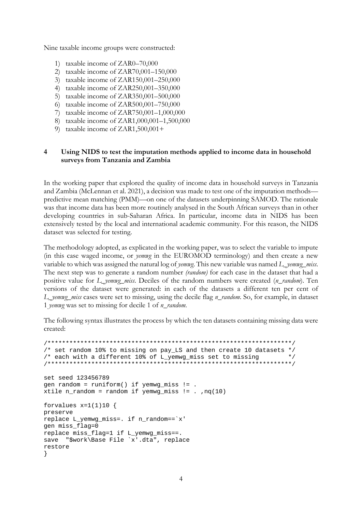Nine taxable income groups were constructed:

- 1) taxable income of ZAR0–70,000
- 2) taxable income of ZAR70,001–150,000
- 3) taxable income of ZAR150,001–250,000
- 4) taxable income of ZAR250,001–350,000
- 5) taxable income of ZAR350,001–500,000
- 6) taxable income of ZAR500,001–750,000
- 7) taxable income of ZAR750,001–1,000,000
- 8) taxable income of ZAR1,000,001–1,500,000
- 9) taxable income of ZAR1,500,001+

## **4 Using NIDS to test the imputation methods applied to income data in household surveys from Tanzania and Zambia**

In the working paper that explored the quality of income data in household surveys in Tanzania and Zambia (McLennan et al. 2021), a decision was made to test one of the imputation methods predictive mean matching (PMM)—on one of the datasets underpinning SAMOD. The rationale was that income data has been more routinely analysed in the South African surveys than in other developing countries in sub-Saharan Africa. In particular, income data in NIDS has been extensively tested by the local and international academic community. For this reason, the NIDS dataset was selected for testing.

The methodology adopted, as explicated in the working paper, was to select the variable to impute (in this case waged income, or *yemwg* in the EUROMOD terminology) and then create a new variable to which was assigned the natural log of *yemwg*. This new variable was named *L\_yemwg\_miss*. The next step was to generate a random number *(random)* for each case in the dataset that had a positive value for *L\_yemwg\_miss*. Deciles of the random numbers were created (*n\_random*). Ten versions of the dataset were generated: in each of the datasets a different ten per cent of *L\_yemwg\_miss* cases were set to missing, using the decile flag *n\_random*. So, for example, in dataset 1 *yemwg* was set to missing for decile 1 of *n\_random*.

The following syntax illustrates the process by which the ten datasets containing missing data were created:

```
/*******************************************************************/
/* set random 10% to missing on pay_LS and then create 10 datasets */<br>/* each with a different 10% of L vemwg miss set to missing */
/* each with a different 10% of L_yemwg_miss set to missing
/*******************************************************************/
set seed 123456789
gen random = runiform() if yemwg_miss != .
xtile n_random = random if yemwg_miss != . ,nq(10)forvalues x=1(1)10 {
preserve
replace L_yemwg_miss=. if n_random==`x'
gen miss_flag=0
replace miss_flag=1 if L_yemwg_miss==.
save "$work\Base File `x'.dta", replace
restore
}
```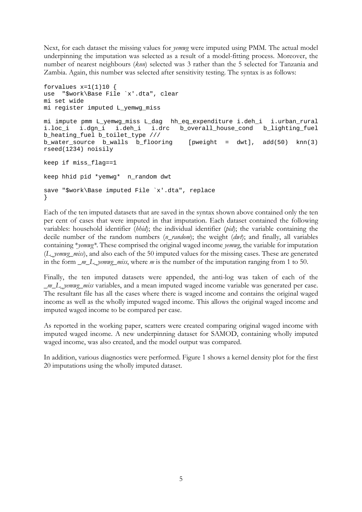Next, for each dataset the missing values for *yemwg* were imputed using PMM. The actual model underpinning the imputation was selected as a result of a model-fitting process. Moreover, the number of nearest neighbours (*knn*) selected was 3 rather than the 5 selected for Tanzania and Zambia. Again, this number was selected after sensitivity testing. The syntax is as follows:

```
forvalues x=1(1)10 {
use "$work\Base File `x'.dta", clear
mi set wide
mi register imputed L_yemwg_miss 
mi impute pmm L_yemwg_miss L_dag hh_eq_expenditure i.deh_i i.urban_rural<br>i.loc_i i.dgn_i i.deh_i i.drc b_overall_house_cond b_lighting_fuel
i.loc_i i.dgn_i i.deh_i i.drc b_overall_house_cond
b_heating_fuel b_toilet_type ///
b_water_source b_walls b_flooring [pweight = dwt], add(50) knn(3) 
rseed(1234) noisily 
keep if miss_flag==1
keep hhid pid *yemwg* n_random dwt
save "$work\Base imputed File `x'.dta", replace
}
```
Each of the ten imputed datasets that are saved in the syntax shown above contained only the ten per cent of cases that were imputed in that imputation. Each dataset contained the following variables: household identifier (*hhid*); the individual identifier (*pid*); the variable containing the decile number of the random numbers (*n\_random*); the weight (*dwt*); and finally, all variables containing \**yemwg\**. These comprised the original waged income *yemwg*, the variable for imputation (*L\_yemwg\_miss*), and also each of the 50 imputed values for the missing cases. These are generated in the form *\_m\_L\_yemwg\_miss*, where *m* is the number of the imputation ranging from 1 to 50.

Finally, the ten imputed datasets were appended, the anti-log was taken of each of the *\_m\_L\_yemwg\_miss* variables, and a mean imputed waged income variable was generated per case. The resultant file has all the cases where there is waged income and contains the original waged income as well as the wholly imputed waged income. This allows the original waged income and imputed waged income to be compared per case.

As reported in the working paper, scatters were created comparing original waged income with imputed waged income. A new underpinning dataset for SAMOD, containing wholly imputed waged income, was also created, and the model output was compared.

In addition, various diagnostics were performed. Figure 1 shows a kernel density plot for the first 20 imputations using the wholly imputed dataset.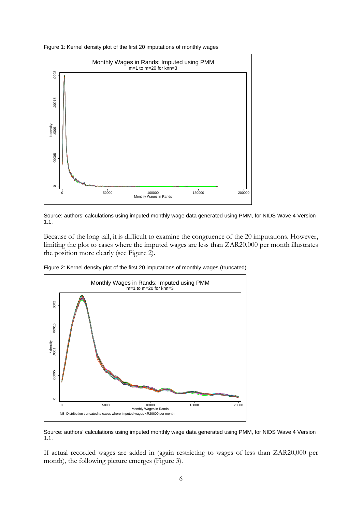



Source: authors' calculations using imputed monthly wage data generated using PMM, for NIDS Wave 4 Version 1.1.

Because of the long tail, it is difficult to examine the congruence of the 20 imputations. However, limiting the plot to cases where the imputed wages are less than ZAR20,000 per month illustrates the position more clearly (see Figure 2).



Figure 2: Kernel density plot of the first 20 imputations of monthly wages (truncated)

Source: authors' calculations using imputed monthly wage data generated using PMM, for NIDS Wave 4 Version 1.1.

If actual recorded wages are added in (again restricting to wages of less than ZAR20,000 per month), the following picture emerges (Figure 3).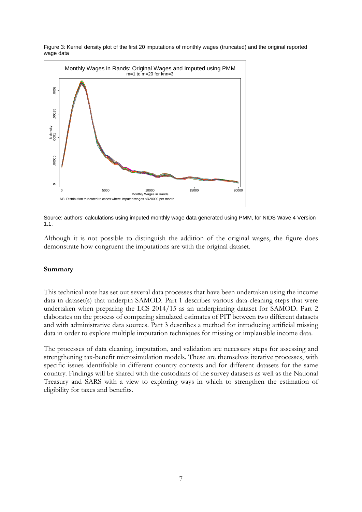

0 5000 5000 10000 10000 15000 20000 20000 Monthly Wages in Rands

NB: Distribution truncated to cases where imputed wages <R20000 per month

Figure 3: Kernel density plot of the first 20 imputations of monthly wages (truncated) and the original reported wage data

Source: authors' calculations using imputed monthly wage data generated using PMM, for NIDS Wave 4 Version 1.1.

Although it is not possible to distinguish the addition of the original wages, the figure does demonstrate how congruent the imputations are with the original dataset.

## **Summary**

This technical note has set out several data processes that have been undertaken using the income data in dataset(s) that underpin SAMOD. Part 1 describes various data-cleaning steps that were undertaken when preparing the LCS 2014/15 as an underpinning dataset for SAMOD. Part 2 elaborates on the process of comparing simulated estimates of PIT between two different datasets and with administrative data sources. Part 3 describes a method for introducing artificial missing data in order to explore multiple imputation techniques for missing or implausible income data.

The processes of data cleaning, imputation, and validation are necessary steps for assessing and strengthening tax-benefit microsimulation models. These are themselves iterative processes, with specific issues identifiable in different country contexts and for different datasets for the same country. Findings will be shared with the custodians of the survey datasets as well as the National Treasury and SARS with a view to exploring ways in which to strengthen the estimation of eligibility for taxes and benefits.